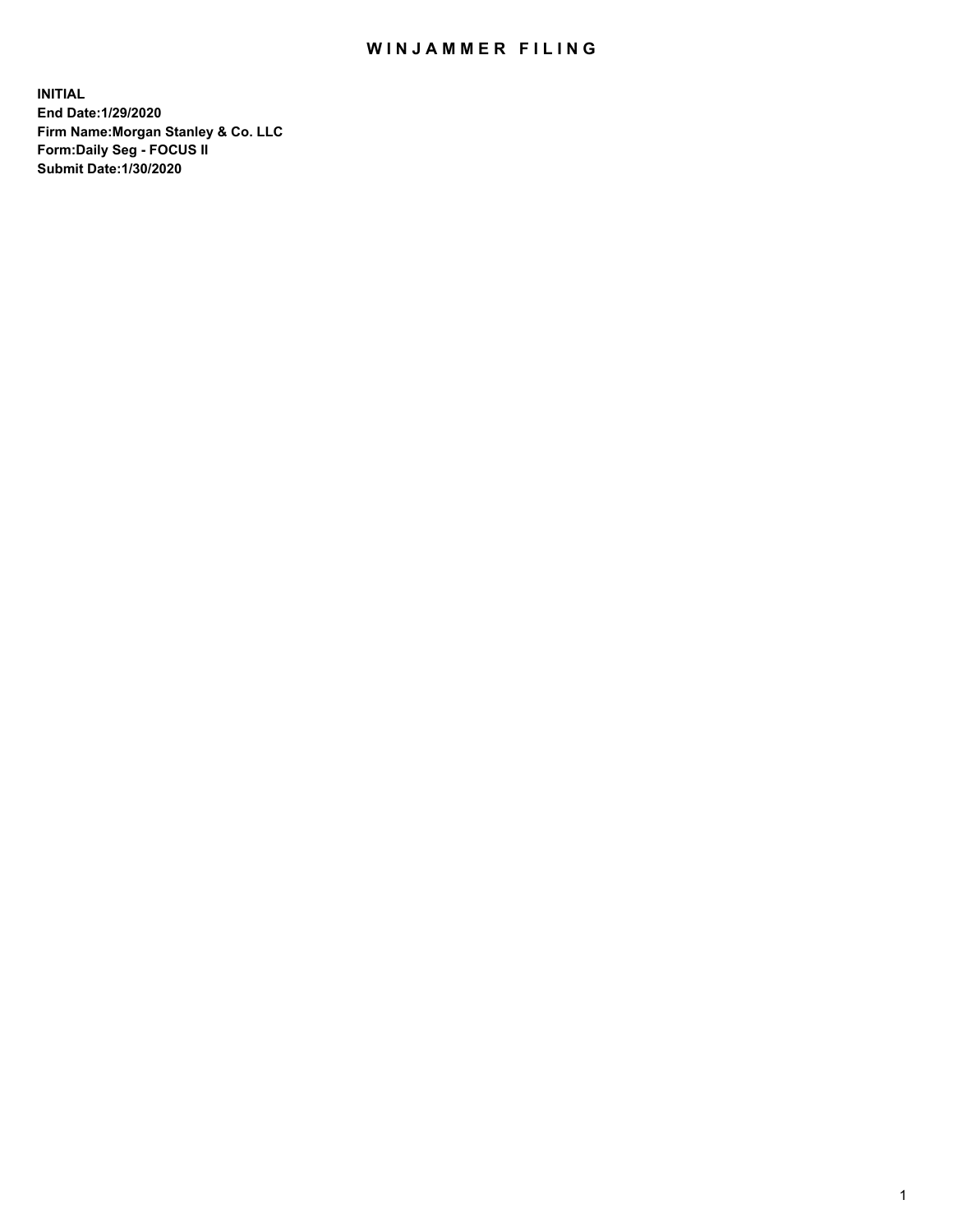## WIN JAMMER FILING

**INITIAL End Date:1/29/2020 Firm Name:Morgan Stanley & Co. LLC Form:Daily Seg - FOCUS II Submit Date:1/30/2020**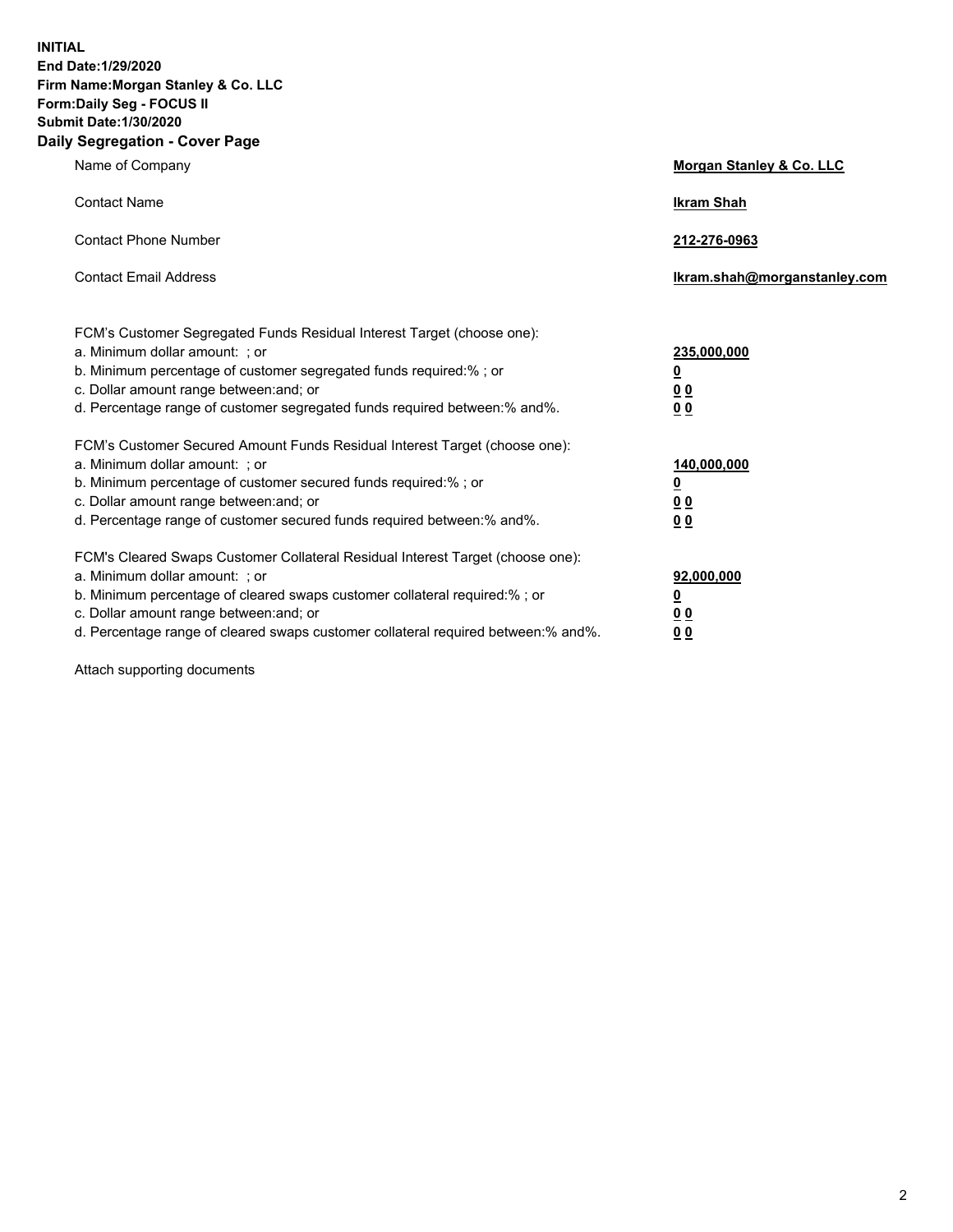**INITIAL End Date:1/29/2020 Firm Name:Morgan Stanley & Co. LLC Form:Daily Seg - FOCUS II Submit Date:1/30/2020 Daily Segregation - Cover Page**

| Name of Company                                                                                                                                                                                                                                                                                                                | Morgan Stanley & Co. LLC                               |
|--------------------------------------------------------------------------------------------------------------------------------------------------------------------------------------------------------------------------------------------------------------------------------------------------------------------------------|--------------------------------------------------------|
| <b>Contact Name</b>                                                                                                                                                                                                                                                                                                            | <b>Ikram Shah</b>                                      |
| <b>Contact Phone Number</b>                                                                                                                                                                                                                                                                                                    | 212-276-0963                                           |
| <b>Contact Email Address</b>                                                                                                                                                                                                                                                                                                   | lkram.shah@morganstanley.com                           |
| FCM's Customer Segregated Funds Residual Interest Target (choose one):<br>a. Minimum dollar amount: ; or<br>b. Minimum percentage of customer segregated funds required:% ; or<br>c. Dollar amount range between: and; or<br>d. Percentage range of customer segregated funds required between:% and%.                         | 235,000,000<br><u>0</u><br><u>00</u><br>0 <sub>0</sub> |
| FCM's Customer Secured Amount Funds Residual Interest Target (choose one):<br>a. Minimum dollar amount: ; or<br>b. Minimum percentage of customer secured funds required:% ; or<br>c. Dollar amount range between: and; or<br>d. Percentage range of customer secured funds required between:% and%.                           | 140,000,000<br><u>0</u><br>0 <sub>0</sub><br>00        |
| FCM's Cleared Swaps Customer Collateral Residual Interest Target (choose one):<br>a. Minimum dollar amount: ; or<br>b. Minimum percentage of cleared swaps customer collateral required:% ; or<br>c. Dollar amount range between: and; or<br>d. Percentage range of cleared swaps customer collateral required between:% and%. | 92,000,000<br><u>0</u><br><u>00</u><br>00              |

Attach supporting documents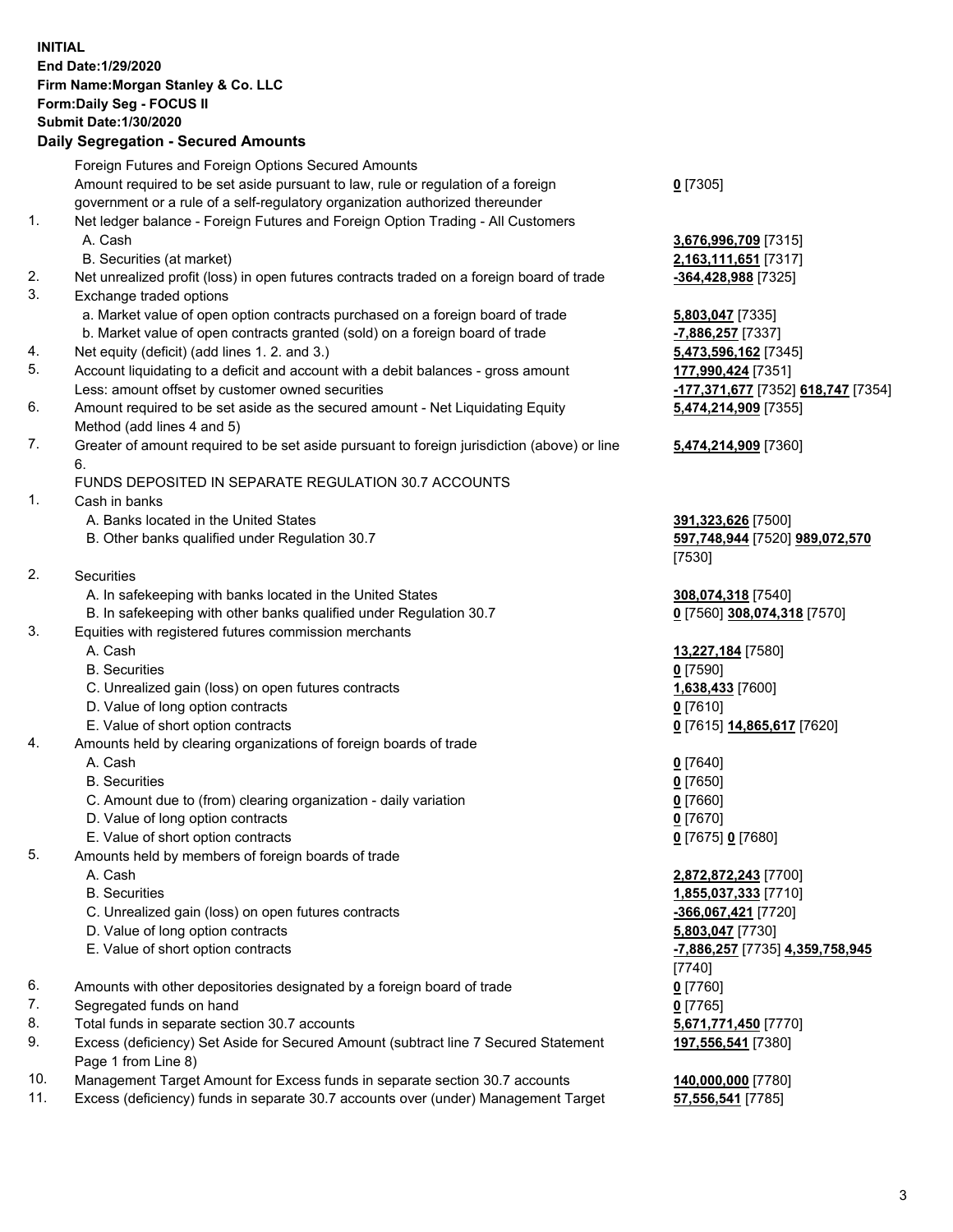## **INITIAL End Date:1/29/2020 Firm Name:Morgan Stanley & Co. LLC Form:Daily Seg - FOCUS II Submit Date:1/30/2020 Daily Segregation - Secured Amounts** Foreign Futures and Foreign Options Secured Amounts Amount required to be set aside pursuant to law, rule or regulation of a foreign government or a rule of a self-regulatory organization authorized thereunder 1. Net ledger balance - Foreign Futures and Foreign Option Trading - All Customers A. Cash **3,676,996,709** [7315] B. Securities (at market) **2,163,111,651** [7317] 2. Net unrealized profit (loss) in open futures contracts traded on a foreign board of trade **-364,428,988** [7325] 3. Exchange traded options a. Market value of open option contracts purchased on a foreign board of trade **5,803,047** [7335] b. Market value of open contracts granted (sold) on a foreign board of trade **-7,886,257** [7337] 4. Net equity (deficit) (add lines 1. 2. and 3.) **5,473,596,162** [7345] 5. Account liquidating to a deficit and account with a debit balances - gross amount **177,990,424** [7351] Less: amount offset by customer owned securities **-177,371,677** [7352] **618,747** [7354] 6. Amount required to be set aside as the secured amount - Net Liquidating Equity Method (add lines 4 and 5) 7. Greater of amount required to be set aside pursuant to foreign jurisdiction (above) or line 6. FUNDS DEPOSITED IN SEPARATE REGULATION 30.7 ACCOUNTS 1. Cash in banks A. Banks located in the United States **391,323,626** [7500] B. Other banks qualified under Regulation 30.7 **597,748,944** [7520] **989,072,570** [7530] 2. Securities A. In safekeeping with banks located in the United States **308,074,318** [7540] B. In safekeeping with other banks qualified under Regulation 30.7 **0** [7560] **308,074,318** [7570] 3. Equities with registered futures commission merchants A. Cash **13,227,184** [7580] B. Securities **0** [7590] C. Unrealized gain (loss) on open futures contracts **1,638,433** [7600] D. Value of long option contracts **0** [7610] E. Value of short option contracts **0** [7615] **14,865,617** [7620] 4. Amounts held by clearing organizations of foreign boards of trade A. Cash **0** [7640] B. Securities **0** [7650] C. Amount due to (from) clearing organization - daily variation **0** [7660] D. Value of long option contracts **0** [7670] E. Value of short option contracts **0** [7675] **0** [7680] 5. Amounts held by members of foreign boards of trade A. Cash **2,872,872,243** [7700] B. Securities **1,855,037,333** [7710] C. Unrealized gain (loss) on open futures contracts **-366,067,421** [7720] D. Value of long option contracts **5,803,047** [7730] E. Value of short option contracts **-7,886,257** [7735] **4,359,758,945** [7740] 6. Amounts with other depositories designated by a foreign board of trade **0** [7760] 7. Segregated funds on hand **0** [7765]

- 8. Total funds in separate section 30.7 accounts **5,671,771,450** [7770]
- 9. Excess (deficiency) Set Aside for Secured Amount (subtract line 7 Secured Statement Page 1 from Line 8)
- 10. Management Target Amount for Excess funds in separate section 30.7 accounts **140,000,000** [7780]
- 11. Excess (deficiency) funds in separate 30.7 accounts over (under) Management Target **57,556,541** [7785]

**0** [7305]

**5,474,214,909** [7355] **5,474,214,909** [7360]

**197,556,541** [7380]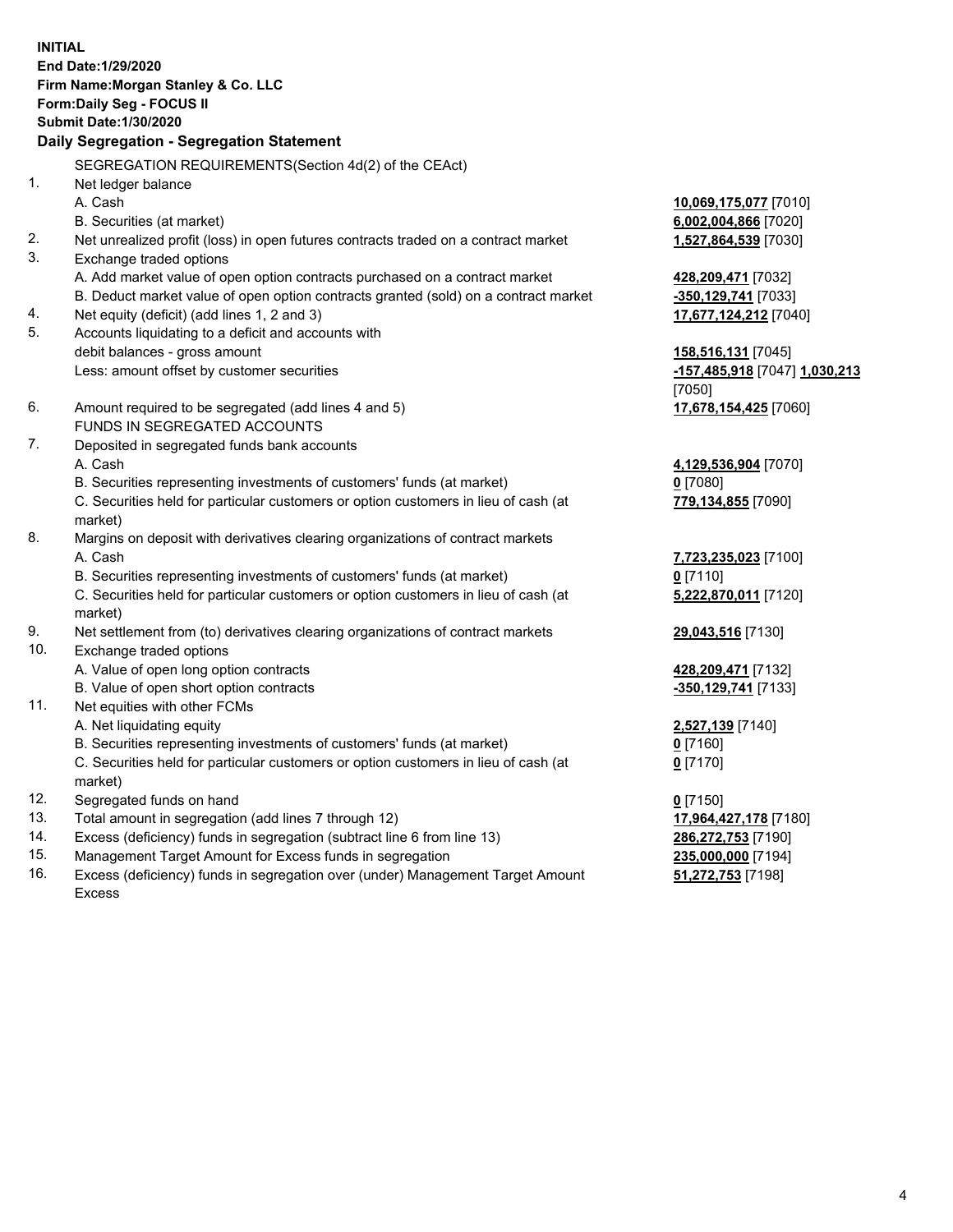**INITIAL End Date:1/29/2020 Firm Name:Morgan Stanley & Co. LLC Form:Daily Seg - FOCUS II Submit Date:1/30/2020 Daily Segregation - Segregation Statement** SEGREGATION REQUIREMENTS(Section 4d(2) of the CEAct) 1. Net ledger balance A. Cash **10,069,175,077** [7010] B. Securities (at market) **6,002,004,866** [7020] 2. Net unrealized profit (loss) in open futures contracts traded on a contract market **1,527,864,539** [7030] 3. Exchange traded options A. Add market value of open option contracts purchased on a contract market **428,209,471** [7032] B. Deduct market value of open option contracts granted (sold) on a contract market **-350,129,741** [7033] 4. Net equity (deficit) (add lines 1, 2 and 3) **17,677,124,212** [7040] 5. Accounts liquidating to a deficit and accounts with debit balances - gross amount **158,516,131** [7045] Less: amount offset by customer securities **-157,485,918** [7047] **1,030,213** [7050] 6. Amount required to be segregated (add lines 4 and 5) **17,678,154,425** [7060] FUNDS IN SEGREGATED ACCOUNTS 7. Deposited in segregated funds bank accounts A. Cash **4,129,536,904** [7070] B. Securities representing investments of customers' funds (at market) **0** [7080] C. Securities held for particular customers or option customers in lieu of cash (at market) **779,134,855** [7090] 8. Margins on deposit with derivatives clearing organizations of contract markets A. Cash **7,723,235,023** [7100] B. Securities representing investments of customers' funds (at market) **0** [7110] C. Securities held for particular customers or option customers in lieu of cash (at market) **5,222,870,011** [7120] 9. Net settlement from (to) derivatives clearing organizations of contract markets **29,043,516** [7130] 10. Exchange traded options A. Value of open long option contracts **428,209,471** [7132] B. Value of open short option contracts **and the set of our of the set of our of the set of our of the set of the set of the set of the set of the set of the set of the set of the set of the set of the set of the set of th** 11. Net equities with other FCMs A. Net liquidating equity **2,527,139** [7140] B. Securities representing investments of customers' funds (at market) **0** [7160] C. Securities held for particular customers or option customers in lieu of cash (at market) **0** [7170] 12. Segregated funds on hand **0** [7150] 13. Total amount in segregation (add lines 7 through 12) **17,964,427,178** [7180] 14. Excess (deficiency) funds in segregation (subtract line 6 from line 13) **286,272,753** [7190] 15. Management Target Amount for Excess funds in segregation **235,000,000** [7194]

16. Excess (deficiency) funds in segregation over (under) Management Target Amount Excess

**51,272,753** [7198]